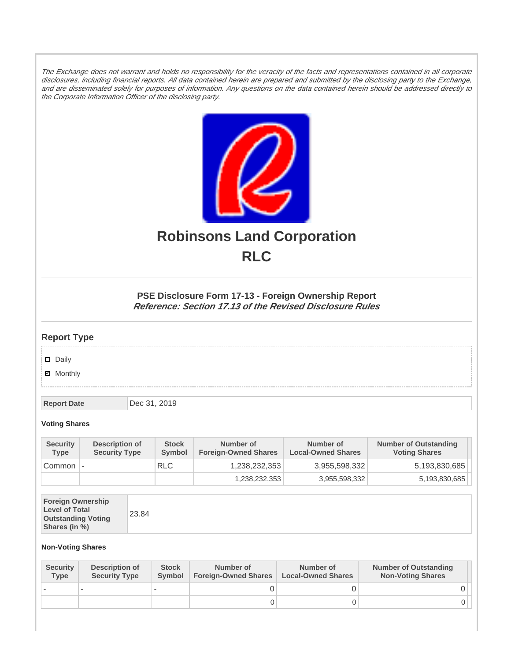The Exchange does not warrant and holds no responsibility for the veracity of the facts and representations contained in all corporate disclosures, including financial reports. All data contained herein are prepared and submitted by the disclosing party to the Exchange, and are disseminated solely for purposes of information. Any questions on the data contained herein should be addressed directly to the Corporate Information Officer of the disclosing party.



# **Robinsons Land Corporation RLC**

## **PSE Disclosure Form 17-13 - Foreign Ownership Report Reference: Section 17.13 of the Revised Disclosure Rules**

## **Report Type**

Daily

**Ø** Monthly

**Report Date Dec 31, 2019** 

#### **Voting Shares**

| <b>Security</b><br><b>Type</b> | Description of<br><b>Security Type</b> | <b>Stock</b><br><b>Symbol</b> | Number of<br><b>Foreign-Owned Shares</b> | Number of<br><b>Local-Owned Shares</b> | <b>Number of Outstanding</b><br><b>Voting Shares</b> |
|--------------------------------|----------------------------------------|-------------------------------|------------------------------------------|----------------------------------------|------------------------------------------------------|
| Common                         | $\overline{\phantom{a}}$               | <b>RLC</b>                    | 1.238.232.353                            | 3,955,598,332                          | 5,193,830,685                                        |
|                                |                                        |                               | 1,238,232,353                            | 3,955,598,332                          | 5,193,830,685                                        |

| <b>Foreign Ownership</b><br><b>Level of Total</b><br><b>Outstanding Voting</b><br>Shares (in %) |
|-------------------------------------------------------------------------------------------------|
|-------------------------------------------------------------------------------------------------|

### **Non-Voting Shares**

| <b>Security</b><br><b>Type</b> | Description of<br><b>Security Type</b> | <b>Stock</b><br><b>Symbol</b> | Number of<br><b>Foreign-Owned Shares</b> | Number of<br><b>Local-Owned Shares</b> | <b>Number of Outstanding</b><br><b>Non-Voting Shares</b> |
|--------------------------------|----------------------------------------|-------------------------------|------------------------------------------|----------------------------------------|----------------------------------------------------------|
|                                |                                        |                               |                                          |                                        |                                                          |
|                                |                                        |                               | O                                        |                                        |                                                          |